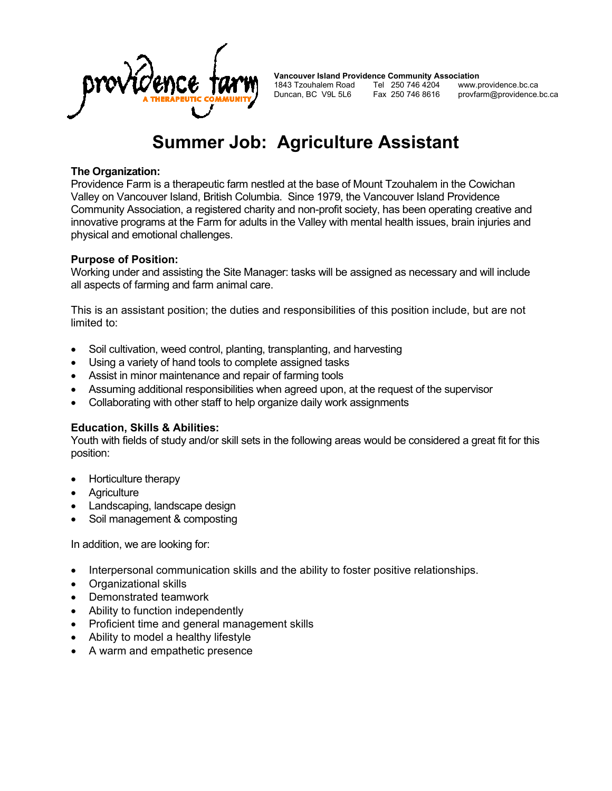

**Vancouver Island Providence Community Association**<br>1843 Tzouhalem Road Tel 250 746 4204 www.providence.bc.ca 1843 Tzouhalem Road Tel 250 746 4204<br>Duncan, BC V9L 5L6 Fax 250 746 8616 Fax 250 746 8616 provfarm@providence.bc.ca

# **Summer Job: Agriculture Assistant**

#### **The Organization:**

Providence Farm is a therapeutic farm nestled at the base of Mount Tzouhalem in the Cowichan Valley on Vancouver Island, British Columbia. Since 1979, the Vancouver Island Providence Community Association, a registered charity and non-profit society, has been operating creative and innovative programs at the Farm for adults in the Valley with mental health issues, brain injuries and physical and emotional challenges.

#### **Purpose of Position:**

Working under and assisting the Site Manager: tasks will be assigned as necessary and will include all aspects of farming and farm animal care.

This is an assistant position; the duties and responsibilities of this position include, but are not limited to:

- Soil cultivation, weed control, planting, transplanting, and harvesting
- Using a variety of hand tools to complete assigned tasks
- Assist in minor maintenance and repair of farming tools
- Assuming additional responsibilities when agreed upon, at the request of the supervisor
- Collaborating with other staff to help organize daily work assignments

## **Education, Skills & Abilities:**

Youth with fields of study and/or skill sets in the following areas would be considered a great fit for this position:

- Horticulture therapy
- **Agriculture**
- Landscaping, landscape design
- Soil management & composting

In addition, we are looking for:

- Interpersonal communication skills and the ability to foster positive relationships.
- Organizational skills
- Demonstrated teamwork
- Ability to function independently
- Proficient time and general management skills
- Ability to model a healthy lifestyle
- A warm and empathetic presence